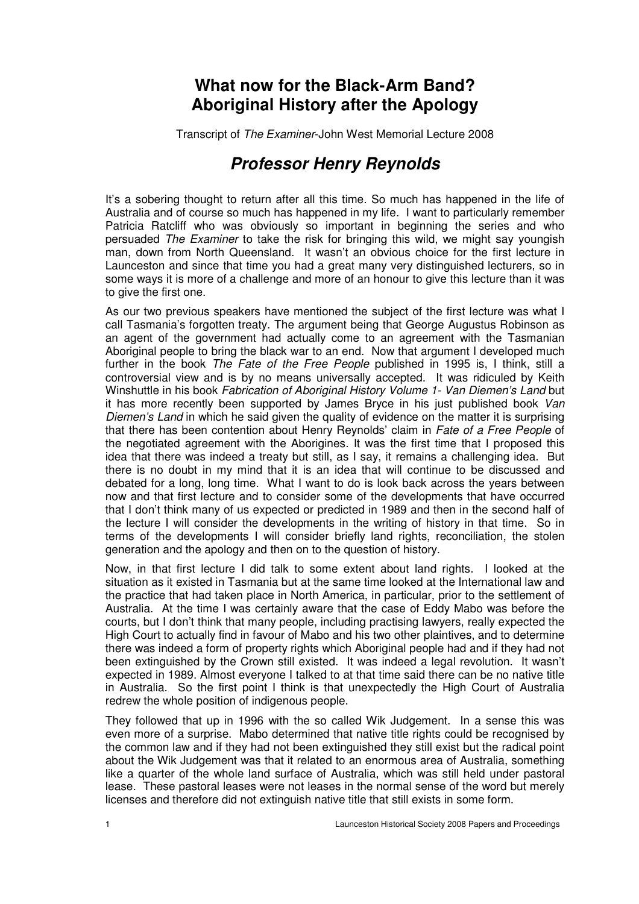## **What now for the Black-Arm Band? Aboriginal History after the Apology**

Transcript of The Examiner-John West Memorial Lecture 2008

## **Professor Henry Reynolds**

It's a sobering thought to return after all this time. So much has happened in the life of Australia and of course so much has happened in my life. I want to particularly remember Patricia Ratcliff who was obviously so important in beginning the series and who persuaded The Examiner to take the risk for bringing this wild, we might say youngish man, down from North Queensland. It wasn't an obvious choice for the first lecture in Launceston and since that time you had a great many very distinguished lecturers, so in some ways it is more of a challenge and more of an honour to give this lecture than it was to give the first one.

As our two previous speakers have mentioned the subject of the first lecture was what I call Tasmania's forgotten treaty. The argument being that George Augustus Robinson as an agent of the government had actually come to an agreement with the Tasmanian Aboriginal people to bring the black war to an end. Now that argument I developed much further in the book The Fate of the Free People published in 1995 is. I think, still a controversial view and is by no means universally accepted. It was ridiculed by Keith Winshuttle in his book Fabrication of Aboriginal History Volume 1- Van Diemen's Land but it has more recently been supported by James Bryce in his just published book Van Diemen's Land in which he said given the quality of evidence on the matter it is surprising that there has been contention about Henry Reynolds' claim in Fate of a Free People of the negotiated agreement with the Aborigines. It was the first time that I proposed this idea that there was indeed a treaty but still, as I say, it remains a challenging idea. But there is no doubt in my mind that it is an idea that will continue to be discussed and debated for a long, long time. What I want to do is look back across the years between now and that first lecture and to consider some of the developments that have occurred that I don't think many of us expected or predicted in 1989 and then in the second half of the lecture I will consider the developments in the writing of history in that time. So in terms of the developments I will consider briefly land rights, reconciliation, the stolen generation and the apology and then on to the question of history.

Now, in that first lecture I did talk to some extent about land rights. I looked at the situation as it existed in Tasmania but at the same time looked at the International law and the practice that had taken place in North America, in particular, prior to the settlement of Australia. At the time I was certainly aware that the case of Eddy Mabo was before the courts, but I don't think that many people, including practising lawyers, really expected the High Court to actually find in favour of Mabo and his two other plaintives, and to determine there was indeed a form of property rights which Aboriginal people had and if they had not been extinguished by the Crown still existed. It was indeed a legal revolution. It wasn't expected in 1989. Almost everyone I talked to at that time said there can be no native title in Australia. So the first point I think is that unexpectedly the High Court of Australia redrew the whole position of indigenous people.

They followed that up in 1996 with the so called Wik Judgement. In a sense this was even more of a surprise. Mabo determined that native title rights could be recognised by the common law and if they had not been extinguished they still exist but the radical point about the Wik Judgement was that it related to an enormous area of Australia, something like a quarter of the whole land surface of Australia, which was still held under pastoral lease. These pastoral leases were not leases in the normal sense of the word but merely licenses and therefore did not extinguish native title that still exists in some form.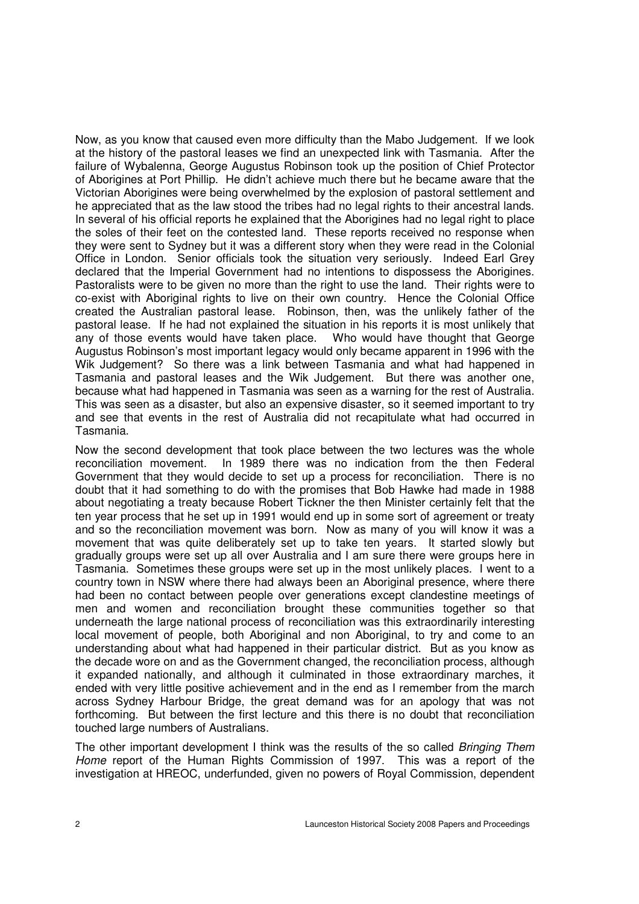Now, as you know that caused even more difficulty than the Mabo Judgement. If we look at the history of the pastoral leases we find an unexpected link with Tasmania. After the failure of Wybalenna, George Augustus Robinson took up the position of Chief Protector of Aborigines at Port Phillip. He didn't achieve much there but he became aware that the Victorian Aborigines were being overwhelmed by the explosion of pastoral settlement and he appreciated that as the law stood the tribes had no legal rights to their ancestral lands. In several of his official reports he explained that the Aborigines had no legal right to place the soles of their feet on the contested land. These reports received no response when they were sent to Sydney but it was a different story when they were read in the Colonial Office in London. Senior officials took the situation very seriously. Indeed Earl Grey declared that the Imperial Government had no intentions to dispossess the Aborigines. Pastoralists were to be given no more than the right to use the land. Their rights were to co-exist with Aboriginal rights to live on their own country. Hence the Colonial Office created the Australian pastoral lease. Robinson, then, was the unlikely father of the pastoral lease. If he had not explained the situation in his reports it is most unlikely that any of those events would have taken place. Who would have thought that George Augustus Robinson's most important legacy would only became apparent in 1996 with the Wik Judgement? So there was a link between Tasmania and what had happened in Tasmania and pastoral leases and the Wik Judgement. But there was another one, because what had happened in Tasmania was seen as a warning for the rest of Australia. This was seen as a disaster, but also an expensive disaster, so it seemed important to try and see that events in the rest of Australia did not recapitulate what had occurred in Tasmania.

Now the second development that took place between the two lectures was the whole reconciliation movement. In 1989 there was no indication from the then Federal Government that they would decide to set up a process for reconciliation. There is no doubt that it had something to do with the promises that Bob Hawke had made in 1988 about negotiating a treaty because Robert Tickner the then Minister certainly felt that the ten year process that he set up in 1991 would end up in some sort of agreement or treaty and so the reconciliation movement was born. Now as many of you will know it was a movement that was quite deliberately set up to take ten years. It started slowly but gradually groups were set up all over Australia and I am sure there were groups here in Tasmania. Sometimes these groups were set up in the most unlikely places. I went to a country town in NSW where there had always been an Aboriginal presence, where there had been no contact between people over generations except clandestine meetings of men and women and reconciliation brought these communities together so that underneath the large national process of reconciliation was this extraordinarily interesting local movement of people, both Aboriginal and non Aboriginal, to try and come to an understanding about what had happened in their particular district. But as you know as the decade wore on and as the Government changed, the reconciliation process, although it expanded nationally, and although it culminated in those extraordinary marches, it ended with very little positive achievement and in the end as I remember from the march across Sydney Harbour Bridge, the great demand was for an apology that was not forthcoming. But between the first lecture and this there is no doubt that reconciliation touched large numbers of Australians.

The other important development I think was the results of the so called Bringing Them Home report of the Human Rights Commission of 1997. This was a report of the investigation at HREOC, underfunded, given no powers of Royal Commission, dependent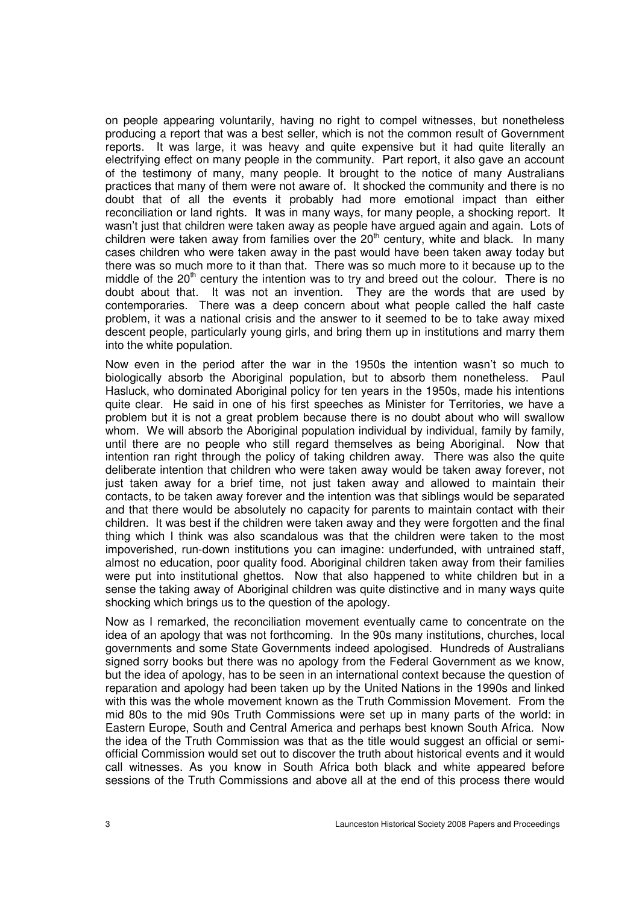on people appearing voluntarily, having no right to compel witnesses, but nonetheless producing a report that was a best seller, which is not the common result of Government reports. It was large, it was heavy and quite expensive but it had quite literally an electrifying effect on many people in the community. Part report, it also gave an account of the testimony of many, many people. It brought to the notice of many Australians practices that many of them were not aware of. It shocked the community and there is no doubt that of all the events it probably had more emotional impact than either reconciliation or land rights. It was in many ways, for many people, a shocking report. It wasn't just that children were taken away as people have argued again and again. Lots of children were taken away from families over the  $20<sup>th</sup>$  century, white and black. In many cases children who were taken away in the past would have been taken away today but there was so much more to it than that. There was so much more to it because up to the middle of the  $20<sup>th</sup>$  century the intention was to try and breed out the colour. There is no doubt about that. It was not an invention. They are the words that are used by contemporaries. There was a deep concern about what people called the half caste problem, it was a national crisis and the answer to it seemed to be to take away mixed descent people, particularly young girls, and bring them up in institutions and marry them into the white population.

Now even in the period after the war in the 1950s the intention wasn't so much to biologically absorb the Aboriginal population, but to absorb them nonetheless. Paul Hasluck, who dominated Aboriginal policy for ten years in the 1950s, made his intentions quite clear. He said in one of his first speeches as Minister for Territories, we have a problem but it is not a great problem because there is no doubt about who will swallow whom. We will absorb the Aboriginal population individual by individual, family by family, until there are no people who still regard themselves as being Aboriginal. Now that intention ran right through the policy of taking children away. There was also the quite deliberate intention that children who were taken away would be taken away forever, not just taken away for a brief time, not just taken away and allowed to maintain their contacts, to be taken away forever and the intention was that siblings would be separated and that there would be absolutely no capacity for parents to maintain contact with their children. It was best if the children were taken away and they were forgotten and the final thing which I think was also scandalous was that the children were taken to the most impoverished, run-down institutions you can imagine: underfunded, with untrained staff, almost no education, poor quality food. Aboriginal children taken away from their families were put into institutional ghettos. Now that also happened to white children but in a sense the taking away of Aboriginal children was quite distinctive and in many ways quite shocking which brings us to the question of the apology.

Now as I remarked, the reconciliation movement eventually came to concentrate on the idea of an apology that was not forthcoming. In the 90s many institutions, churches, local governments and some State Governments indeed apologised. Hundreds of Australians signed sorry books but there was no apology from the Federal Government as we know, but the idea of apology, has to be seen in an international context because the question of reparation and apology had been taken up by the United Nations in the 1990s and linked with this was the whole movement known as the Truth Commission Movement. From the mid 80s to the mid 90s Truth Commissions were set up in many parts of the world: in Eastern Europe, South and Central America and perhaps best known South Africa. Now the idea of the Truth Commission was that as the title would suggest an official or semiofficial Commission would set out to discover the truth about historical events and it would call witnesses. As you know in South Africa both black and white appeared before sessions of the Truth Commissions and above all at the end of this process there would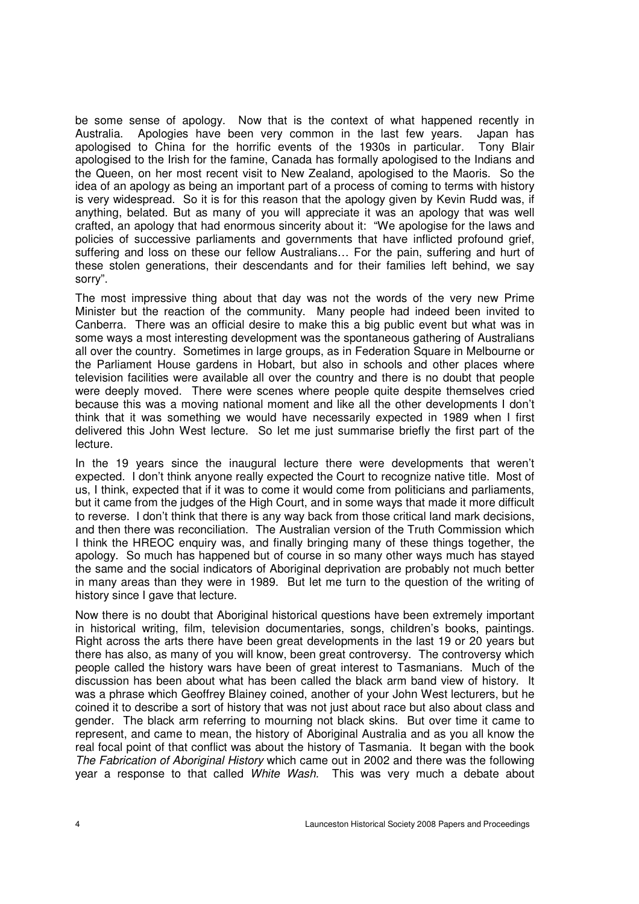be some sense of apology. Now that is the context of what happened recently in Australia. Apologies have been very common in the last few years. Japan has apologised to China for the horrific events of the 1930s in particular. Tony Blair apologised to China for the horrific events of the 1930s in particular. apologised to the Irish for the famine, Canada has formally apologised to the Indians and the Queen, on her most recent visit to New Zealand, apologised to the Maoris. So the idea of an apology as being an important part of a process of coming to terms with history is very widespread. So it is for this reason that the apology given by Kevin Rudd was, if anything, belated. But as many of you will appreciate it was an apology that was well crafted, an apology that had enormous sincerity about it: "We apologise for the laws and policies of successive parliaments and governments that have inflicted profound grief, suffering and loss on these our fellow Australians… For the pain, suffering and hurt of these stolen generations, their descendants and for their families left behind, we say sorry".

The most impressive thing about that day was not the words of the very new Prime Minister but the reaction of the community. Many people had indeed been invited to Canberra. There was an official desire to make this a big public event but what was in some ways a most interesting development was the spontaneous gathering of Australians all over the country. Sometimes in large groups, as in Federation Square in Melbourne or the Parliament House gardens in Hobart, but also in schools and other places where television facilities were available all over the country and there is no doubt that people were deeply moved. There were scenes where people quite despite themselves cried because this was a moving national moment and like all the other developments I don't think that it was something we would have necessarily expected in 1989 when I first delivered this John West lecture. So let me just summarise briefly the first part of the lecture.

In the 19 years since the inaugural lecture there were developments that weren't expected. I don't think anyone really expected the Court to recognize native title. Most of us, I think, expected that if it was to come it would come from politicians and parliaments, but it came from the judges of the High Court, and in some ways that made it more difficult to reverse. I don't think that there is any way back from those critical land mark decisions, and then there was reconciliation. The Australian version of the Truth Commission which I think the HREOC enquiry was, and finally bringing many of these things together, the apology. So much has happened but of course in so many other ways much has stayed the same and the social indicators of Aboriginal deprivation are probably not much better in many areas than they were in 1989. But let me turn to the question of the writing of history since I gave that lecture.

Now there is no doubt that Aboriginal historical questions have been extremely important in historical writing, film, television documentaries, songs, children's books, paintings. Right across the arts there have been great developments in the last 19 or 20 years but there has also, as many of you will know, been great controversy. The controversy which people called the history wars have been of great interest to Tasmanians. Much of the discussion has been about what has been called the black arm band view of history. It was a phrase which Geoffrey Blainey coined, another of your John West lecturers, but he coined it to describe a sort of history that was not just about race but also about class and gender. The black arm referring to mourning not black skins. But over time it came to represent, and came to mean, the history of Aboriginal Australia and as you all know the real focal point of that conflict was about the history of Tasmania. It began with the book The Fabrication of Aboriginal History which came out in 2002 and there was the following year a response to that called White Wash. This was very much a debate about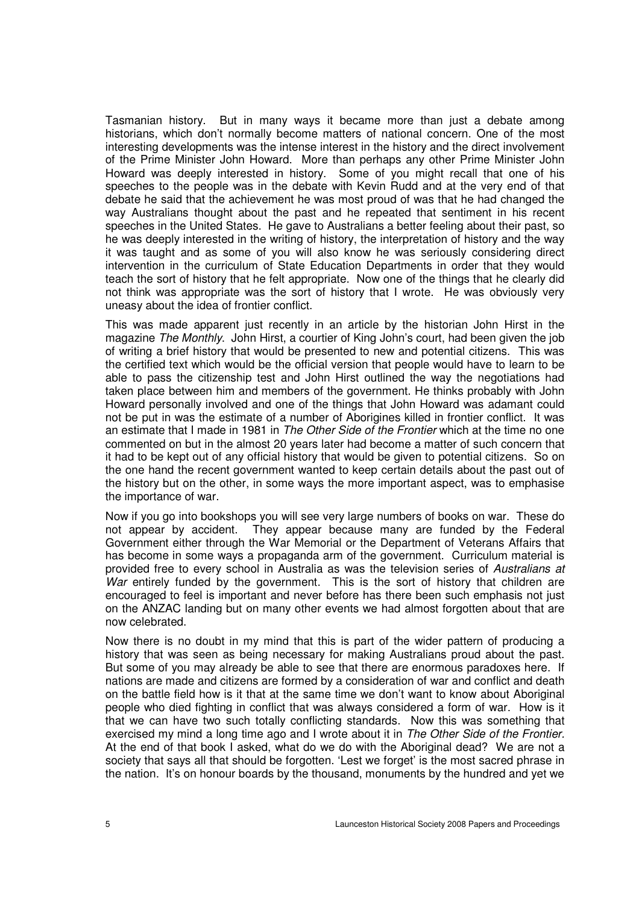Tasmanian history. But in many ways it became more than just a debate among historians, which don't normally become matters of national concern. One of the most interesting developments was the intense interest in the history and the direct involvement of the Prime Minister John Howard. More than perhaps any other Prime Minister John Howard was deeply interested in history. Some of you might recall that one of his speeches to the people was in the debate with Kevin Rudd and at the very end of that debate he said that the achievement he was most proud of was that he had changed the way Australians thought about the past and he repeated that sentiment in his recent speeches in the United States. He gave to Australians a better feeling about their past, so he was deeply interested in the writing of history, the interpretation of history and the way it was taught and as some of you will also know he was seriously considering direct intervention in the curriculum of State Education Departments in order that they would teach the sort of history that he felt appropriate. Now one of the things that he clearly did not think was appropriate was the sort of history that I wrote. He was obviously very uneasy about the idea of frontier conflict.

This was made apparent just recently in an article by the historian John Hirst in the magazine The Monthly. John Hirst, a courtier of King John's court, had been given the job of writing a brief history that would be presented to new and potential citizens. This was the certified text which would be the official version that people would have to learn to be able to pass the citizenship test and John Hirst outlined the way the negotiations had taken place between him and members of the government. He thinks probably with John Howard personally involved and one of the things that John Howard was adamant could not be put in was the estimate of a number of Aborigines killed in frontier conflict. It was an estimate that I made in 1981 in The Other Side of the Frontier which at the time no one commented on but in the almost 20 years later had become a matter of such concern that it had to be kept out of any official history that would be given to potential citizens. So on the one hand the recent government wanted to keep certain details about the past out of the history but on the other, in some ways the more important aspect, was to emphasise the importance of war.

Now if you go into bookshops you will see very large numbers of books on war. These do not appear by accident. They appear because many are funded by the Federal Government either through the War Memorial or the Department of Veterans Affairs that has become in some ways a propaganda arm of the government. Curriculum material is provided free to every school in Australia as was the television series of Australians at War entirely funded by the government. This is the sort of history that children are encouraged to feel is important and never before has there been such emphasis not just on the ANZAC landing but on many other events we had almost forgotten about that are now celebrated.

Now there is no doubt in my mind that this is part of the wider pattern of producing a history that was seen as being necessary for making Australians proud about the past. But some of you may already be able to see that there are enormous paradoxes here. If nations are made and citizens are formed by a consideration of war and conflict and death on the battle field how is it that at the same time we don't want to know about Aboriginal people who died fighting in conflict that was always considered a form of war. How is it that we can have two such totally conflicting standards. Now this was something that exercised my mind a long time ago and I wrote about it in The Other Side of the Frontier. At the end of that book I asked, what do we do with the Aboriginal dead? We are not a society that says all that should be forgotten. 'Lest we forget' is the most sacred phrase in the nation. It's on honour boards by the thousand, monuments by the hundred and yet we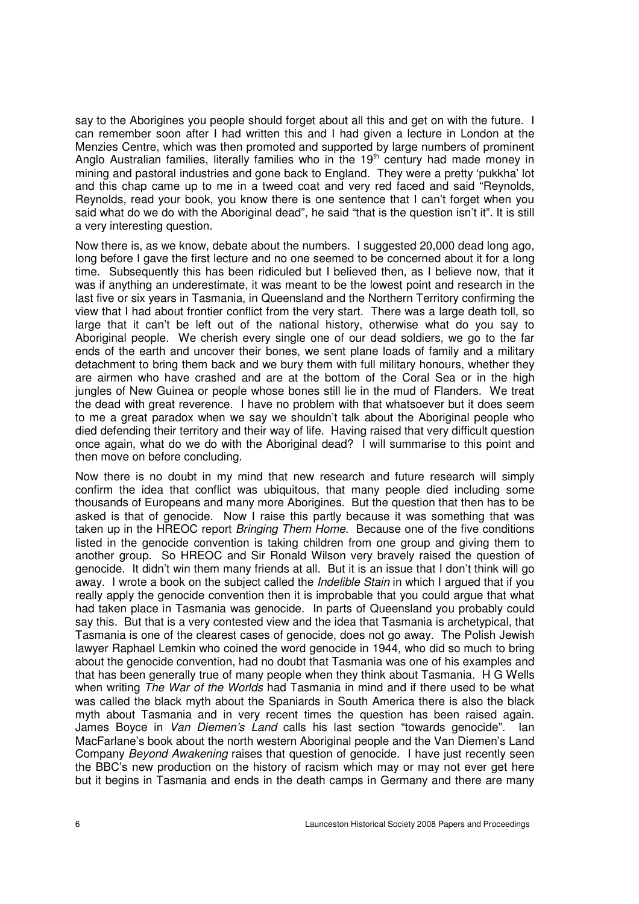say to the Aborigines you people should forget about all this and get on with the future. I can remember soon after I had written this and I had given a lecture in London at the Menzies Centre, which was then promoted and supported by large numbers of prominent Anglo Australian families, literally families who in the 19<sup>th</sup> century had made money in mining and pastoral industries and gone back to England. They were a pretty 'pukkha' lot and this chap came up to me in a tweed coat and very red faced and said "Reynolds, Reynolds, read your book, you know there is one sentence that I can't forget when you said what do we do with the Aboriginal dead", he said "that is the question isn't it". It is still a very interesting question.

Now there is, as we know, debate about the numbers. I suggested 20,000 dead long ago, long before I gave the first lecture and no one seemed to be concerned about it for a long time. Subsequently this has been ridiculed but I believed then, as I believe now, that it was if anything an underestimate, it was meant to be the lowest point and research in the last five or six years in Tasmania, in Queensland and the Northern Territory confirming the view that I had about frontier conflict from the very start. There was a large death toll, so large that it can't be left out of the national history, otherwise what do you say to Aboriginal people. We cherish every single one of our dead soldiers, we go to the far ends of the earth and uncover their bones, we sent plane loads of family and a military detachment to bring them back and we bury them with full military honours, whether they are airmen who have crashed and are at the bottom of the Coral Sea or in the high jungles of New Guinea or people whose bones still lie in the mud of Flanders. We treat the dead with great reverence. I have no problem with that whatsoever but it does seem to me a great paradox when we say we shouldn't talk about the Aboriginal people who died defending their territory and their way of life. Having raised that very difficult question once again, what do we do with the Aboriginal dead? I will summarise to this point and then move on before concluding.

Now there is no doubt in my mind that new research and future research will simply confirm the idea that conflict was ubiquitous, that many people died including some thousands of Europeans and many more Aborigines. But the question that then has to be asked is that of genocide. Now I raise this partly because it was something that was taken up in the HREOC report *Bringing Them Home*. Because one of the five conditions listed in the genocide convention is taking children from one group and giving them to another group. So HREOC and Sir Ronald Wilson very bravely raised the question of genocide. It didn't win them many friends at all. But it is an issue that I don't think will go away. I wrote a book on the subject called the *Indelible Stain* in which I argued that if you really apply the genocide convention then it is improbable that you could argue that what had taken place in Tasmania was genocide. In parts of Queensland you probably could say this. But that is a very contested view and the idea that Tasmania is archetypical, that Tasmania is one of the clearest cases of genocide, does not go away. The Polish Jewish lawyer Raphael Lemkin who coined the word genocide in 1944, who did so much to bring about the genocide convention, had no doubt that Tasmania was one of his examples and that has been generally true of many people when they think about Tasmania. H G Wells when writing *The War of the Worlds* had Tasmania in mind and if there used to be what was called the black myth about the Spaniards in South America there is also the black myth about Tasmania and in very recent times the question has been raised again. James Boyce in Van Diemen's Land calls his last section "towards genocide". Ian MacFarlane's book about the north western Aboriginal people and the Van Diemen's Land Company Beyond Awakening raises that question of genocide. I have just recently seen the BBC's new production on the history of racism which may or may not ever get here but it begins in Tasmania and ends in the death camps in Germany and there are many